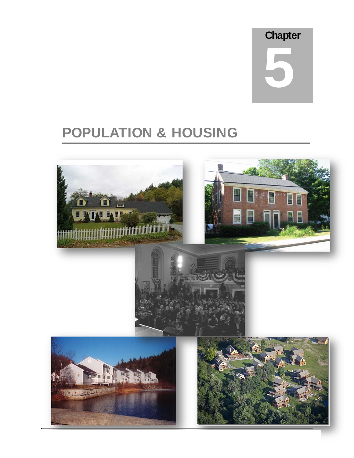## **Chapter**

# 5

# POPULATION & HOUSING

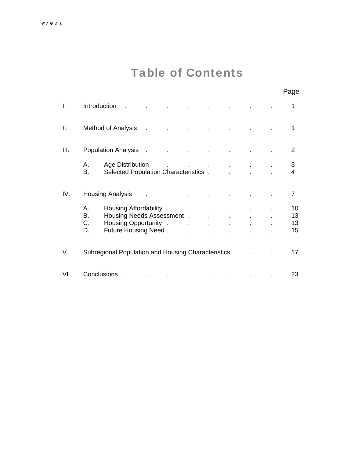# Table of Contents

|      |                      |                                                                                                                                                                                                                                                                                                                                                                                                                  |                                               |                                               |  | Page                              |
|------|----------------------|------------------------------------------------------------------------------------------------------------------------------------------------------------------------------------------------------------------------------------------------------------------------------------------------------------------------------------------------------------------------------------------------------------------|-----------------------------------------------|-----------------------------------------------|--|-----------------------------------|
| I.   | Introduction         |                                                                                                                                                                                                                                                                                                                                                                                                                  |                                               |                                               |  | 1                                 |
| Ⅱ.   |                      | Method of Analysis                                                                                                                                                                                                                                                                                                                                                                                               |                                               |                                               |  | 1                                 |
| III. |                      | <b>Population Analysis</b>                                                                                                                                                                                                                                                                                                                                                                                       |                                               |                                               |  | 2                                 |
|      | А.<br>В.             | Age Distribution<br>Selected Population Characteristics.                                                                                                                                                                                                                                                                                                                                                         | and the company of the company of the company |                                               |  | $\mathfrak{S}$<br>$\overline{4}$  |
| IV.  |                      | <b>Housing Analysis</b>                                                                                                                                                                                                                                                                                                                                                                                          |                                               |                                               |  | $\overline{7}$                    |
|      | А.<br>В.<br>C.<br>D. | Housing Affordability . The contract of the set of the set of the set of the set of the set of the set of the s<br>Housing Needs Assessment . The state<br>Housing Opportunity . The contract of the set of the set of the set of the set of the set of the set of the set of the set of the set of the set of the set of the set of the set of the set of the set of the set of the set<br>Future Housing Need. |                                               | and the control<br>$\mathcal{L}^{\text{max}}$ |  | 10 <sup>°</sup><br>13<br>13<br>15 |
| V.   |                      | Subregional Population and Housing Characteristics                                                                                                                                                                                                                                                                                                                                                               |                                               |                                               |  | 17                                |
| VI.  | Conclusions          |                                                                                                                                                                                                                                                                                                                                                                                                                  |                                               |                                               |  | 23                                |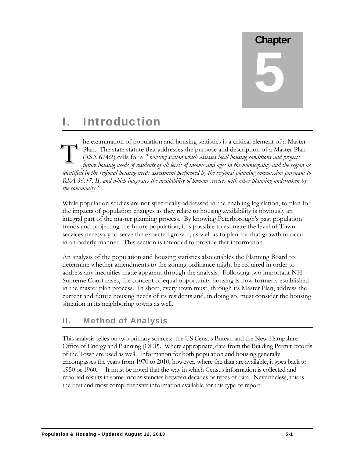# **Chapter** 5

### I. Introduction

he examination of population and housing statistics is a critical element of a Master Plan. The state statute that addresses the purpose and description of a Master Plan (RSA 674:2) calls for a *" housing section which assesses local housing conditions and projects future housing needs of residents of all levels of income and ages in the municipality and the region as identified in the regional housing needs assessment performed by the regional planning commission pursuant to RSA 36:47, II, and which integrates the availability of human services with other planning undertaken by the community."*  T

While population studies are not specifically addressed in the enabling legislation, to plan for the impacts of population changes as they relate to housing availability is obviously an integral part of the master planning process. By knowing Peterborough's past population trends and projecting the future population, it is possible to estimate the level of Town services necessary to serve the expected growth, as well as to plan for that growth to occur in an orderly manner. This section is intended to provide that information.

An analysis of the population and housing statistics also enables the Planning Board to determine whether amendments to the zoning ordinance might be required in order to address any inequities made apparent through the analysis. Following two important NH Supreme Court cases, the concept of equal opportunity housing is now formerly established in the master plan process. In short, every town must, through its Master Plan, address the current and future housing needs of its residents and, in doing so, must consider the housing situation in its neighboring towns as well.

#### II. Method of Analysis

This analysis relies on two primary sources: the US Census Bureau and the New Hampshire Office of Energy and Planning (OEP). Where appropriate, data from the Building Permit records of the Town are used as well. Information for both population and housing generally encompasses the years from 1970 to 2010; however, where the data are available, it goes back to 1950 or 1960. It must be noted that the way in which Census information is collected and reported results in some inconsistencies between decades or types of data. Nevertheless, this is the best and most comprehensive information available for this type of report.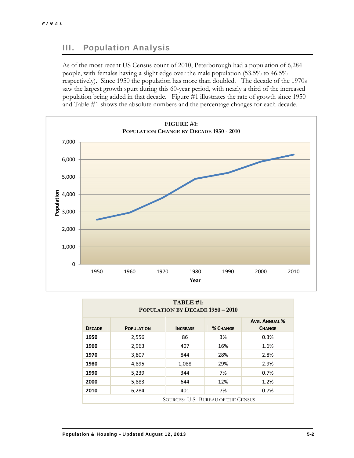#### III. Population Analysis

As of the most recent US Census count of 2010, Peterborough had a population of 6,284 people, with females having a slight edge over the male population (53.5% to 46.5% respectively). Since 1950 the population has more than doubled. The decade of the 1970s saw the largest growth spurt during this 60-year period, with nearly a third of the increased population being added in that decade. Figure #1 illustrates the rate of growth since 1950 and Table #1 shows the absolute numbers and the percentage changes for each decade.



| TABLE #1:<br><b>POPULATION BY DECADE 1950 - 2010</b> |                   |                 |                 |                                       |  |
|------------------------------------------------------|-------------------|-----------------|-----------------|---------------------------------------|--|
| <b>DECADE</b>                                        | <b>POPULATION</b> | <b>INCREASE</b> | <b>% CHANGE</b> | <b>AVG. ANNUAL %</b><br><b>CHANGE</b> |  |
| 1950                                                 | 2,556             | 86              | 3%              | 0.3%                                  |  |
| 1960                                                 | 2,963             | 407             | 16%             | 1.6%                                  |  |
| 1970                                                 | 3,807             | 844             | 28%             | 2.8%                                  |  |
| 1980                                                 | 4,895             | 1,088           | 29%             | 2.9%                                  |  |
| 1990                                                 | 5,239             | 344             | 7%              | 0.7%                                  |  |
| 2000                                                 | 5,883             | 644             | 12%             | 1.2%                                  |  |
| 2010                                                 | 6,284             | 401             | 7%              | 0.7%                                  |  |
| SOURCES: U.S. BUREAU OF THE CENSUS                   |                   |                 |                 |                                       |  |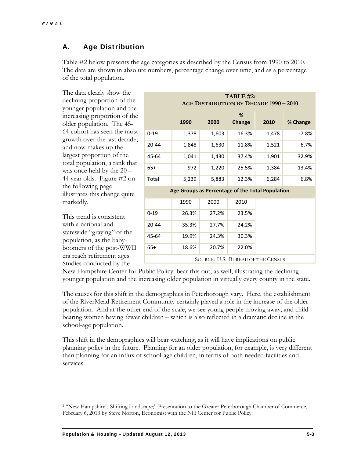$\overline{a}$ 

#### A. Age Distribution

Table #2 below presents the age categories as described by the Census from 1990 to 2010. The data are shown in absolute numbers, percentage change over time, and as a percentage of the total population.

The data clearly show the declining proportion of the younger population and the increasing proportion of the older population. The 45- 64 cohort has seen the most growth over the last decade, and now makes up the largest proportion of the total population, a rank that was once held by the 20 – 44 year olds. Figure #2 on the following page illustrates this change quite markedly.

This trend is consistent with a national and statewide "graying" of the population, as the babyboomers of the post-WWII era reach retirement ages. Studies conducted by the

| TABLE #2:<br>AGE DISTRIBUTION BY DECADE 1990 - 2010 |                                                  |       |             |       |          |  |  |
|-----------------------------------------------------|--------------------------------------------------|-------|-------------|-------|----------|--|--|
|                                                     | 1990                                             | 2000  | %<br>Change | 2010  | % Change |  |  |
| $0 - 19$                                            | 1,378                                            | 1,603 | 16.3%       | 1,478 | $-7.8%$  |  |  |
| 20-44                                               | 1,848                                            | 1,630 | $-11.8%$    | 1,521 | $-6.7%$  |  |  |
| 45-64                                               | 1,041                                            | 1,430 | 37.4%       | 1,901 | 32.9%    |  |  |
| $65+$                                               | 972                                              | 1,220 | 25.5%       | 1,384 | 13.4%    |  |  |
| Total                                               | 5,239                                            | 5,883 | 12.3%       | 6,284 | 6.8%     |  |  |
|                                                     | Age Groups as Percentage of the Total Population |       |             |       |          |  |  |
|                                                     | 1990                                             | 2000  | 2010        |       |          |  |  |
| $0 - 19$                                            | 26.3%                                            | 27.2% | 23.5%       |       |          |  |  |
| $20 - 44$                                           | 35.3%                                            | 27.7% | 24.2%       |       |          |  |  |
| 45-64                                               | 19.9%                                            | 24.3% | 30.3%       |       |          |  |  |
| $65+$                                               | 18.6%                                            | 20.7% | 22.0%       |       |          |  |  |
| SOURCE: U.S. BUREAU OF THE CENSUS                   |                                                  |       |             |       |          |  |  |

New Hampshire Center for Public Policy<sup>1</sup> bear this out, as well, illustrating the declining younger population and the increasing older population in virtually every county in the state.

The causes for this shift in the demographics in Peterborough vary. Here, the establishment of the RiverMead Retirement Community certainly played a role in the increase of the older population. And at the other end of the scale, we see young people moving away, and childbearing women having fewer children – which is also reflected in a dramatic decline in the school-age population.

This shift in the demographics will bear watching, as it will have implications on public planning policy in the future. Planning for an older population, for example, is very different than planning for an influx of school-age children, in terms of both needed facilities and services.

<sup>1 &</sup>quot;New Hampshire's Shifting Landscape;" Presentation to the Greater Peterborough Chamber of Commerce, February 6, 2013 by Steve Norton, Economist with the NH Center for Public Policy.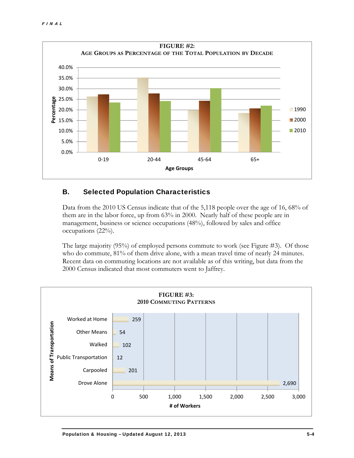

#### B. Selected Population Characteristics

Data from the 2010 US Census indicate that of the 5,118 people over the age of 16, 68% of them are in the labor force, up from 63% in 2000. Nearly half of these people are in management, business or science occupations (48%), followed by sales and office occupations (22%).

The large majority (95%) of employed persons commute to work (see Figure #3). Of those who do commute, 81% of them drive alone, with a mean travel time of nearly 24 minutes. Recent data on commuting locations are not available as of this writing, but data from the 2000 Census indicated that most commuters went to Jaffrey.

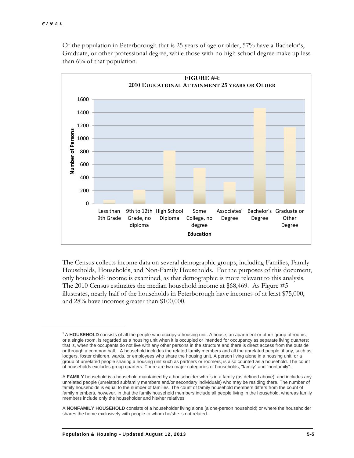$\overline{a}$ 



Of the population in Peterborough that is 25 years of age or older, 57% have a Bachelor's, Graduate, or other professional degree, while those with no high school degree make up less than 6% of that population.

The Census collects income data on several demographic groups, including Families, Family Households, Households, and Non-Family Households. For the purposes of this document, only household2 income is examined, as that demographic is more relevant to this analysis. The 2010 Census estimates the median household income at \$68,469. As Figure #5 illustrates, nearly half of the households in Peterborough have incomes of at least \$75,000, and 28% have incomes greater than \$100,000.

<sup>&</sup>lt;sup>2</sup> A **HOUSEHOLD** consists of all the people who occupy a housing unit. A house, an apartment or other group of rooms, or a single room, is regarded as a housing unit when it is occupied or intended for occupancy as separate living quarters; that is, when the occupants do not live with any other persons in the structure and there is direct access from the outside or through a common hall. A household includes the related family members and all the unrelated people, if any, such as lodgers, foster children, wards, or employees who share the housing unit. A person living alone in a housing unit, or a group of unrelated people sharing a housing unit such as partners or roomers, is also counted as a household. The count of households excludes group quarters. There are two major categories of households, "family" and "nonfamily".

A **FAMILY** household is a household maintained by a householder who is in a family (as defined above), and includes any unrelated people (unrelated subfamily members and/or secondary individuals) who may be residing there. The number of family households is equal to the number of families. The count of family household members differs from the count of family members, however, in that the family household members include all people living in the household, whereas family members include only the householder and his/her relatives

A **NONFAMILY HOUSEHOLD** consists of a householder living alone (a one-person household) or where the householder shares the home exclusively with people to whom he/she is not related.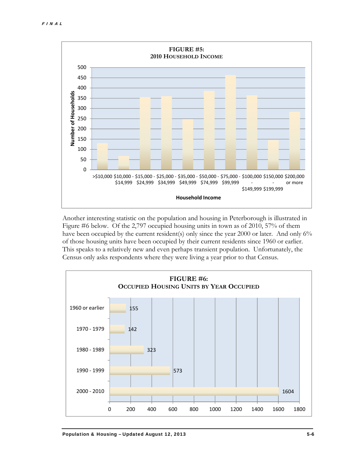

Another interesting statistic on the population and housing in Peterborough is illustrated in Figure #6 below. Of the 2,797 occupied housing units in town as of 2010, 57% of them have been occupied by the current resident(s) only since the year 2000 or later. And only 6% of those housing units have been occupied by their current residents since 1960 or earlier. This speaks to a relatively new and even perhaps transient population. Unfortunately, the Census only asks respondents where they were living a year prior to that Census.

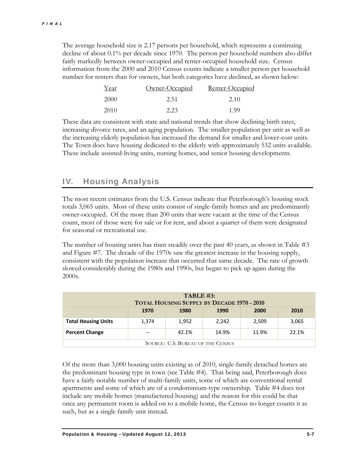The average household size is 2.17 persons per household, which represents a continuing decline of about 0.1% per decade since 1970. The person per household numbers also differ fairly markedly between owner-occupied and renter-occupied household size. Census information from the 2000 and 2010 Census counts indicate a smaller person per household number for renters than for owners, but both categories have declined, as shown below:

| Year | Owner-Occupied | Renter-Occupied |
|------|----------------|-----------------|
| 2000 | 2.51           | 2.10            |
| 2010 | 2.23           | 199             |

These data are consistent with state and national trends that show declining birth rates, increasing divorce rates, and an aging population. The smaller population per unit as well as the increasing elderly population has increased the demand for smaller and lower-cost units. The Town does have housing dedicated to the elderly with approximately 532 units available. These include assisted-living units, nursing homes, and senior housing developments.

#### IV. Housing Analysis

The most recent estimates from the U.S. Census indicate that Peterborough's housing stock totals 3,065 units. Most of these units consist of single-family homes and are predominantly owner-occupied. Of the more than 200 units that were vacant at the time of the Census count, most of those were for sale or for rent, and about a quarter of them were designated for seasonal or recreational use.

The number of housing units has risen steadily over the past 40 years, as shown in Table #3 and Figure #7. The decade of the 1970s saw the greatest increase in the housing supply, consistent with the population increase that occurred that same decade. The rate of growth slowed considerably during the 1980s and 1990s, but began to pick up again during the 2000s.

| TABLE #3:<br><b>TOTAL HOUSING SUPPLY BY DECADE 1970 - 2010</b> |       |       |       |       |       |  |  |
|----------------------------------------------------------------|-------|-------|-------|-------|-------|--|--|
| 1970<br>1980<br>1990<br>2000<br>2010                           |       |       |       |       |       |  |  |
| <b>Total Housing Units</b>                                     | 1,374 | 1,952 | 2.242 | 2,509 | 3,065 |  |  |
| 22.1%<br>42.1%<br>14.9%<br>11.9%<br><b>Percent Change</b>      |       |       |       |       |       |  |  |
| SOURCE: U.S. BUREAU OF THE CENSUS                              |       |       |       |       |       |  |  |

Of the more than 3,000 housing units existing as of 2010, single-family detached homes are the predominant housing type in town (see Table #4). That being said, Peterborough does have a fairly notable number of multi-family units, some of which are conventional rental apartments and some of which are of a condominium-type ownership. Table #4 does not include any mobile homes (manufactured housing) and the reason for this could be that once any permanent room is added on to a mobile home, the Census no longer counts it as such, but as a single family unit instead.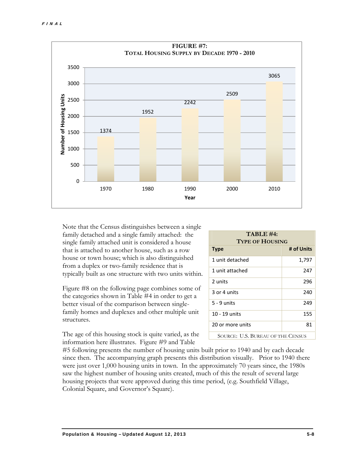

Note that the Census distinguishes between a single family detached and a single family attached: the single family attached unit is considered a house that is attached to another house, such as a row house or town house; which is also distinguished from a duplex or two-family residence that is typically built as one structure with two units within.

Figure #8 on the following page combines some of the categories shown in Table #4 in order to get a better visual of the comparison between singlefamily homes and duplexes and other multiple unit structures.

The age of this housing stock is quite varied, as the information here illustrates. Figure #9 and Table

| TABLE #4:<br><b>TYPE OF HOUSING</b> |            |  |  |  |
|-------------------------------------|------------|--|--|--|
| <b>Type</b>                         | # of Units |  |  |  |
| 1 unit detached                     | 1,797      |  |  |  |
| 1 unit attached                     | 247        |  |  |  |
| 2 units                             | 296        |  |  |  |
| 3 or 4 units                        | 240        |  |  |  |
| $5 - 9$ units                       | 249        |  |  |  |
| 10 - 19 units                       | 155        |  |  |  |
| 20 or more units                    | 81         |  |  |  |
| SOURCE: U.S. BUREAU OF THE CENSUS   |            |  |  |  |

#5 following presents the number of housing units built prior to 1940 and by each decade since then. The accompanying graph presents this distribution visually. Prior to 1940 there were just over 1,000 housing units in town. In the approximately 70 years since, the 1980s saw the highest number of housing units created, much of this the result of several large housing projects that were approved during this time period, (e.g. Southfield Village, Colonial Square, and Governor's Square).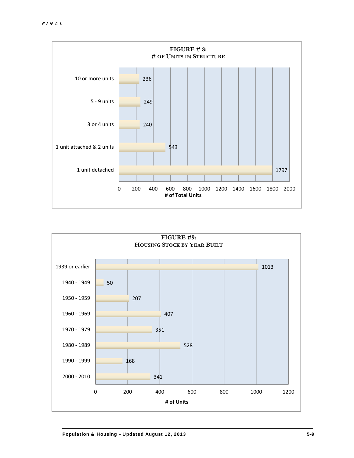

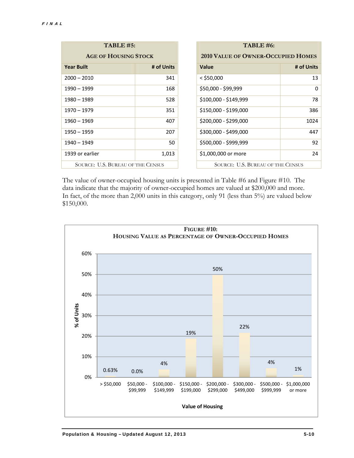| <b>TABLE #5:</b>                  |            |  | TABLE #6:                                 |            |
|-----------------------------------|------------|--|-------------------------------------------|------------|
| <b>AGE OF HOUSING STOCK</b>       |            |  | <b>2010 VALUE OF OWNER-OCCUPIED HOMES</b> |            |
| <b>Year Built</b>                 | # of Units |  | <b>Value</b>                              | # of Units |
| $2000 - 2010$                     | 341        |  | $<$ \$50,000                              | 13         |
| 1990 - 1999                       | 168        |  | \$50,000 - \$99,999                       | 0          |
| $1980 - 1989$                     | 528        |  | \$100,000 - \$149,999                     | 78         |
| $1970 - 1979$                     | 351        |  | \$150,000 - \$199,000                     | 386        |
| $1960 - 1969$                     | 407        |  | \$200,000 - \$299,000                     | 1024       |
| $1950 - 1959$                     | 207        |  | \$300,000 - \$499,000                     | 447        |
| $1940 - 1949$                     | 50         |  | \$500,000 - \$999,999                     | 92         |
| 1939 or earlier                   | 1,013      |  | \$1,000,000 or more                       | 24         |
| SOURCE: U.S. BUREAU OF THE CENSUS |            |  | <b>SOURCE: U.S. BUREAU OF THE CENSUS</b>  |            |

The value of owner-occupied housing units is presented in Table #6 and Figure #10. The data indicate that the majority of owner-occupied homes are valued at \$200,000 and more. In fact, of the more than 2,000 units in this category, only 91 (less than 5%) are valued below \$150,000.

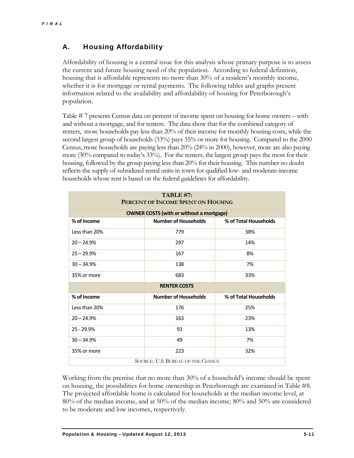#### A. Housing Affordability

Affordability of housing is a central issue for this analysis whose primary purpose is to assess the current and future housing need of the population. According to federal definition, housing that is affordable represents no more than 30% of a resident's monthly income, whether it is for mortgage or rental payments. The following tables and graphs present information related to the availability and affordability of housing for Peterborough's population.

Table # 7 presents Census data on percent of income spent on housing for home owners – with and without a mortgage, and for renters. The data show that for the combined category of renters, more households pay less than 20% of their income for monthly housing costs, while the second largest group of households  $(33%)$  pays  $35%$  or more for housing. Compared to the 2000 Census, more households are paying less than 20% (24% in 2000), however, more are also paying more (30% compared to today's 33%). For the renters, the largest group pays the most for their housing, followed by the group paying less than 20% for their housing. This number no doubt reflects the supply of subsidized rental units in town for qualified low- and moderate-income households whose rent is based on the federal guidelines for affordability.

| TABLE #7:<br>PERCENT OF INCOME SPENT ON HOUSING |                                                 |                       |  |  |  |
|-------------------------------------------------|-------------------------------------------------|-----------------------|--|--|--|
|                                                 | <b>OWNER COSTS (with or without a mortgage)</b> |                       |  |  |  |
| % of Income                                     | <b>Number of Households</b>                     | % of Total Households |  |  |  |
| Less than 20%                                   | 779                                             | 38%                   |  |  |  |
| $20 - 24.9%$                                    | 297                                             | 14%                   |  |  |  |
| $25 - 29.9%$                                    | 167                                             | 8%                    |  |  |  |
| $30 - 34.9%$                                    | 138                                             | 7%                    |  |  |  |
| 35% or more                                     | 683                                             | 33%                   |  |  |  |
|                                                 | <b>RENTER COSTS</b>                             |                       |  |  |  |
| % of Income                                     | <b>Number of Households</b>                     | % of Total Households |  |  |  |
| Less than 20%                                   | 176                                             | 25%                   |  |  |  |
| $20 - 24.9%$                                    | 163                                             | 23%                   |  |  |  |
| $25 - 29.9%$                                    | 91                                              | 13%                   |  |  |  |
| $30 - 34.9%$                                    | 49                                              | 7%                    |  |  |  |
| 35% or more                                     | 223                                             | 32%                   |  |  |  |
| SOURCE: U.S. BUREAU OF THE CENSUS               |                                                 |                       |  |  |  |

Working from the premise that no more than 30% of a household's income should be spent on housing, the possibilities for home ownership in Peterborough are examined in Table #8. The projected affordable home is calculated for households at the median income level, at 80% of the median income, and at 50% of the median income; 80% and 50% are considered to be moderate and low incomes, respectively.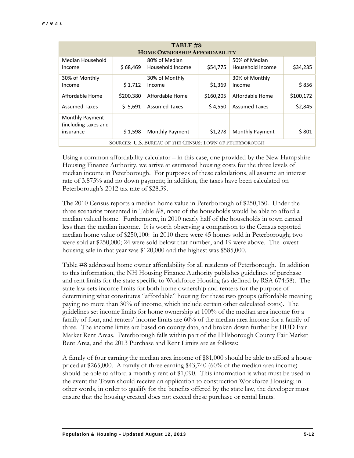| TABLE #8:<br><b>HOME OWNERSHIP AFFORDABILITY</b>         |           |                                   |           |                                   |           |
|----------------------------------------------------------|-----------|-----------------------------------|-----------|-----------------------------------|-----------|
| Median Household<br>Income                               | \$68,469  | 80% of Median<br>Household Income | \$54,775  | 50% of Median<br>Household Income | \$34,235  |
| 30% of Monthly<br>Income                                 | \$1,712   | 30% of Monthly<br>Income          | \$1,369   | 30% of Monthly<br>Income          | \$856     |
| Affordable Home                                          | \$200,380 | Affordable Home                   | \$160,205 | Affordable Home                   | \$100,172 |
| <b>Assumed Taxes</b>                                     | \$5,691   | <b>Assumed Taxes</b>              | \$4,550   | <b>Assumed Taxes</b>              | \$2,845   |
| Monthly Payment<br>(including taxes and<br>insurance     | \$1,598   | <b>Monthly Payment</b>            | \$1,278   | <b>Monthly Payment</b>            | \$801     |
| SOURCES: U.S. BUREAU OF THE CENSUS; TOWN OF PETERBOROUGH |           |                                   |           |                                   |           |

Using a common affordability calculator – in this case, one provided by the New Hampshire Housing Finance Authority, we arrive at estimated housing costs for the three levels of median income in Peterborough. For purposes of these calculations, all assume an interest rate of 3.875% and no down payment; in addition, the taxes have been calculated on Peterborough's 2012 tax rate of \$28.39.

The 2010 Census reports a median home value in Peterborough of \$250,150. Under the three scenarios presented in Table #8, none of the households would be able to afford a median valued home. Furthermore, in 2010 nearly half of the households in town earned less than the median income. It is worth observing a comparison to the Census reported median home value of \$250,100: in 2010 there were 45 homes sold in Peterborough; two were sold at \$250,000; 24 were sold below that number, and 19 were above. The lowest housing sale in that year was \$120,000 and the highest was \$585,000.

Table #8 addressed home owner affordability for all residents of Peterborough. In addition to this information, the NH Housing Finance Authority publishes guidelines of purchase and rent limits for the state specific to Workforce Housing (as defined by RSA 674:58). The state law sets income limits for both home ownership and renters for the purpose of determining what constitutes "affordable" housing for these two groups (affordable meaning paying no more than 30% of income, which include certain other calculated costs). The guidelines set income limits for home ownership at 100% of the median area income for a family of four, and renters' income limits are 60% of the median area income for a family of three. The income limits are based on county data, and broken down further by HUD Fair Market Rent Areas. Peterborough falls within part of the Hillsborough County Fair Market Rent Area, and the 2013 Purchase and Rent Limits are as follows:

A family of four earning the median area income of \$81,000 should be able to afford a house priced at \$265,000. A family of three earning \$43,740 (60% of the median area income) should be able to afford a monthly rent of \$1,090. This information is what must be used in the event the Town should receive an application to construction Workforce Housing; in other words, in order to qualify for the benefits offered by the state law, the developer must ensure that the housing created does not exceed these purchase or rental limits.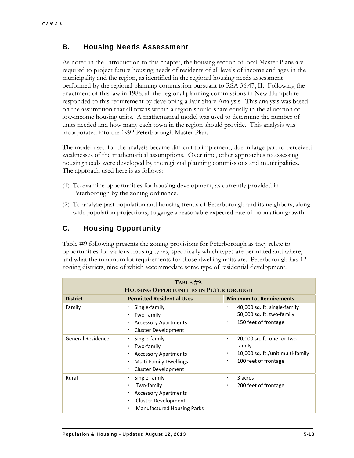#### B. Housing Needs Assessment

As noted in the Introduction to this chapter, the housing section of local Master Plans are required to project future housing needs of residents of all levels of income and ages in the municipality and the region, as identified in the regional housing needs assessment performed by the regional planning commission pursuant to RSA 36:47, II. Following the enactment of this law in 1988, all the regional planning commissions in New Hampshire responded to this requirement by developing a Fair Share Analysis. This analysis was based on the assumption that all towns within a region should share equally in the allocation of low-income housing units. A mathematical model was used to determine the number of units needed and how many each town in the region should provide. This analysis was incorporated into the 1992 Peterborough Master Plan.

The model used for the analysis became difficult to implement, due in large part to perceived weaknesses of the mathematical assumptions. Over time, other approaches to assessing housing needs were developed by the regional planning commissions and municipalities. The approach used here is as follows:

- (1) To examine opportunities for housing development, as currently provided in Peterborough by the zoning ordinance.
- (2) To analyze past population and housing trends of Peterborough and its neighbors, along with population projections, to gauge a reasonable expected rate of population growth.

#### C. Housing Opportunity

Table #9 following presents the zoning provisions for Peterborough as they relate to opportunities for various housing types, specifically which types are permitted and where, and what the minimum lot requirements for those dwelling units are. Peterborough has 12 zoning districts, nine of which accommodate some type of residential development.

| TABLE#9:<br><b>HOUSING OPPORTUNITIES IN PETERBOROUGH</b> |                                                                                                                                                              |                                                                                                                  |  |  |  |
|----------------------------------------------------------|--------------------------------------------------------------------------------------------------------------------------------------------------------------|------------------------------------------------------------------------------------------------------------------|--|--|--|
| <b>District</b>                                          | <b>Permitted Residential Uses</b>                                                                                                                            | <b>Minimum Lot Requirements</b>                                                                                  |  |  |  |
| Family                                                   | Single-family<br>Two-family<br>٠<br><b>Accessory Apartments</b><br>٠<br><b>Cluster Development</b><br>٠                                                      | 40,000 sq. ft. single-family<br>50,000 sq. ft. two-family<br>150 feet of frontage<br>٠                           |  |  |  |
| <b>General Residence</b>                                 | Single-family<br>٠<br>Two-family<br>٠<br><b>Accessory Apartments</b><br>٠<br><b>Multi-Family Dwellings</b><br>٠<br><b>Cluster Development</b><br>٠           | 20,000 sq. ft. one- or two-<br>٠<br>family<br>10,000 sq. ft./unit multi-family<br>٠<br>100 feet of frontage<br>٠ |  |  |  |
| Rural                                                    | Single-family<br>٠<br>Two-family<br>٠<br><b>Accessory Apartments</b><br>$\blacksquare$<br>Cluster Development<br>٠<br><b>Manufactured Housing Parks</b><br>٠ | 3 acres<br>٠<br>200 feet of frontage<br>٠                                                                        |  |  |  |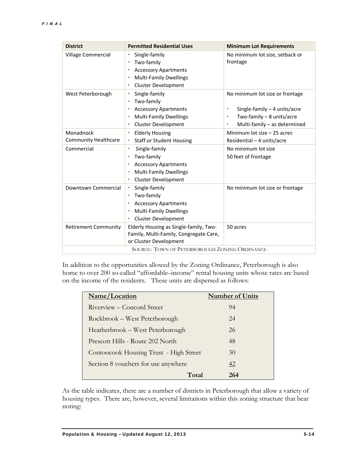| <b>District</b>             | <b>Permitted Residential Uses</b>                                                                                  | <b>Minimum Lot Requirements</b>              |
|-----------------------------|--------------------------------------------------------------------------------------------------------------------|----------------------------------------------|
| Village Commercial          | Single-family<br>Two-family<br><b>Accessory Apartments</b><br>٠<br><b>Multi-Family Dwellings</b><br>$\blacksquare$ | No minimum lot size, setback or<br>frontage  |
|                             | <b>Cluster Development</b>                                                                                         |                                              |
| West Peterborough           | Single-family<br>٠<br>Two-family                                                                                   | No minimum lot size or frontage              |
|                             | <b>Accessory Apartments</b><br>٠                                                                                   | Single-family $-4$ units/acre                |
|                             | <b>Multi-Family Dwellings</b><br>$\blacksquare$                                                                    | Two-family $-8$ units/acre<br>$\blacksquare$ |
|                             | <b>Cluster Development</b><br>٠                                                                                    | Multi-family - as determined<br>٠            |
| Monadnock                   | <b>Elderly Housing</b><br>٠                                                                                        | Minimum lot size - 25 acres                  |
| <b>Community Healthcare</b> | <b>Staff or Student Housing</b>                                                                                    | Residential - 4 units/acre                   |
| Commercial                  | Single-family                                                                                                      | No minimum lot size                          |
|                             | Two-family<br>٠                                                                                                    | 50 feet of frontage                          |
|                             | <b>Accessory Apartments</b><br>٠                                                                                   |                                              |
|                             | <b>Multi-Family Dwellings</b><br>٠                                                                                 |                                              |
|                             | <b>Cluster Development</b><br>$\blacksquare$                                                                       |                                              |
| Downtown Commercial         | Single-family<br>$\blacksquare$                                                                                    | No minimum lot size or frontage              |
|                             | Two-family<br>$\blacksquare$                                                                                       |                                              |
|                             | <b>Accessory Apartments</b>                                                                                        |                                              |
|                             | <b>Multi-Family Dwellings</b><br>٠                                                                                 |                                              |
|                             | Cluster Development<br>$\blacksquare$                                                                              |                                              |
| <b>Retirement Community</b> | Elderly Housing as Single-family, Two-<br>Family, Multi-Family, Congregate Care,<br>or Cluster Development         | 50 acres                                     |
|                             | SOURCE: TOWN OF PETERBOROUGH ZONING ORDINANCE                                                                      |                                              |

In addition to the opportunities allowed by the Zoning Ordinance, Peterborough is also home to over 200 so-called "affordable–income" rental housing units whose rates are based on the income of the residents. These units are dispersed as follows:

| Name/Location                          | <b>Number of Units</b> |
|----------------------------------------|------------------------|
| Riverview – Concord Street             | 94                     |
| Rockbrook – West Peterborough          | 24                     |
| Heatherbrook – West Peterborough       | 26                     |
| Prescott Hills - Route 202 North       | 48                     |
| Contoocook Housing Trust - High Street | 30                     |
| Section 8 vouchers for use anywhere    | 42                     |
| Total                                  | 264                    |

As the table indicates, there are a number of districts in Peterborough that allow a variety of housing types. There are, however, several limitations within this zoning structure that bear noting: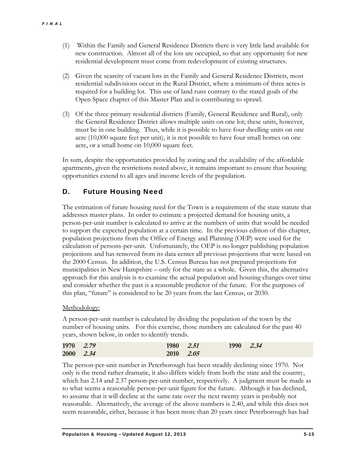- (1) Within the Family and General Residence Districts there is very little land available for new construction. Almost all of the lots are occupied, so that any opportunity for new residential development must come from redevelopment of existing structures.
- (2) Given the scarcity of vacant lots in the Family and General Residence Districts, most residential subdivisions occur in the Rural District, where a minimum of three acres is required for a building lot. This use of land runs contrary to the stated goals of the Open Space chapter of this Master Plan and is contributing to sprawl.
- (3) Of the three primary residential districts (Family, General Residence and Rural), only the General Residence District allows multiple units on one lot; these units, however, must be in one building. Thus, while it is possible to have four dwelling units on one acre (10,000 square feet per unit), it is not possible to have four small homes on one acre, or a small home on 10,000 square feet.

In sum, despite the opportunities provided by zoning and the availability of the affordable apartments, given the restrictions noted above, it remains important to ensure that housing opportunities extend to all ages and income levels of the population.

#### D. Future Housing Need

The estimation of future housing need for the Town is a requirement of the state statute that addresses master plans. In order to estimate a projected demand for housing units, a person-per-unit number is calculated to arrive at the numbers of units that would be needed to support the expected population at a certain time. In the previous edition of this chapter, population projections from the Office of Energy and Planning (OEP) were used for the calculation of persons-per-unit. Unfortunately, the OEP is no longer publishing population projections and has removed from its data center all previous projections that were based on the 2000 Census. In addition, the U.S. Census Bureau has not prepared projections for municipalities in New Hampshire – only for the state as a whole. Given this, the alternative approach for this analysis is to examine the actual population and housing changes over time and consider whether the past is a reasonable predictor of the future. For the purposes of this plan, "future" is considered to be 20 years from the last Census, or 2030.

#### Methodology:

A person-per-unit number is calculated by dividing the population of the town by the number of housing units. For this exercise, those numbers are calculated for the past 40 years, shown below, in order to identify trends.

| 1970 2.79 | 1980 2.51 | 1990 2.34 |  |
|-----------|-----------|-----------|--|
| 2000 2.34 | 2010 2.05 |           |  |

The person-per-unit number in Peterborough has been steadily declining since 1970. Not only is the trend rather dramatic, it also differs widely from both the state and the country, which has 2.14 and 2.37 person-per-unit number, respectively. A judgment must be made as to what seems a reasonable person-per-unit figure for the future. Although it has declined, to assume that it will decline at the same rate over the next twenty years is probably not reasonable. Alternatively, the average of the above numbers is 2.40, and while this does not seem reasonable, either, because it has been more than 20 years since Peterborough has had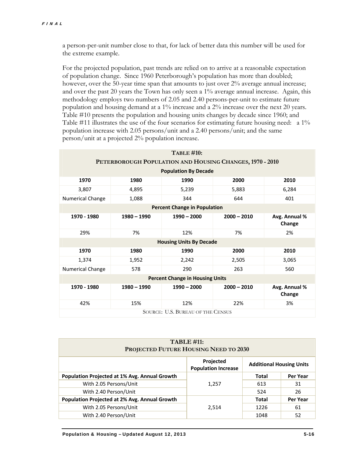a person-per-unit number close to that, for lack of better data this number will be used for the extreme example.

For the projected population, past trends are relied on to arrive at a reasonable expectation of population change. Since 1960 Peterborough's population has more than doubled; however, over the 50-year time span that amounts to just over 2% average annual increase; and over the past 20 years the Town has only seen a 1% average annual increase. Again, this methodology employs two numbers of 2.05 and 2.40 persons-per-unit to estimate future population and housing demand at a 1% increase and a 2% increase over the next 20 years. Table #10 presents the population and housing units changes by decade since 1960; and Table #11 illustrates the use of the four scenarios for estimating future housing need: a 1% population increase with 2.05 persons/unit and a 2.40 persons/unit; and the same person/unit at a projected 2% population increase.

|                                                          |               | <b>TABLE #10:</b>                      |               |                         |  |  |  |
|----------------------------------------------------------|---------------|----------------------------------------|---------------|-------------------------|--|--|--|
| PETERBOROUGH POPULATION AND HOUSING CHANGES, 1970 - 2010 |               |                                        |               |                         |  |  |  |
|                                                          |               | <b>Population By Decade</b>            |               |                         |  |  |  |
| 1970                                                     | 1980          | 1990                                   | 2000          | 2010                    |  |  |  |
| 3,807                                                    | 4,895         | 5,239                                  | 5,883         | 6,284                   |  |  |  |
| <b>Numerical Change</b>                                  | 1,088         | 344                                    | 644           | 401                     |  |  |  |
|                                                          |               | <b>Percent Change in Population</b>    |               |                         |  |  |  |
| 1970 - 1980                                              | $1980 - 1990$ | $1990 - 2000$                          | $2000 - 2010$ | Avg. Annual %<br>Change |  |  |  |
| 29%                                                      | 7%            | 12%                                    | 7%            | 2%                      |  |  |  |
|                                                          |               | <b>Housing Units By Decade</b>         |               |                         |  |  |  |
| 1970                                                     | 1980          | 1990                                   | 2000          | 2010                    |  |  |  |
| 1,374                                                    | 1,952         | 2,242                                  | 2,505         | 3,065                   |  |  |  |
| <b>Numerical Change</b>                                  | 578           | 290                                    | 263           | 560                     |  |  |  |
|                                                          |               | <b>Percent Change in Housing Units</b> |               |                         |  |  |  |
| 1970 - 1980                                              | $1980 - 1990$ | $1990 - 2000$                          | $2000 - 2010$ | Avg. Annual %<br>Change |  |  |  |
| 42%                                                      | 15%           | 12%                                    | 22%           | 3%                      |  |  |  |
| SOURCE: U.S. BUREAU OF THE CENSUS                        |               |                                        |               |                         |  |  |  |

| <b>TABLE #11:</b><br>PROJECTED FUTURE HOUSING NEED TO 2030 |                                                                            |              |          |  |  |
|------------------------------------------------------------|----------------------------------------------------------------------------|--------------|----------|--|--|
|                                                            | Projected<br><b>Additional Housing Units</b><br><b>Population Increase</b> |              |          |  |  |
| <b>Population Projected at 1% Avg. Annual Growth</b>       |                                                                            | <b>Total</b> | Per Year |  |  |
| With 2.05 Persons/Unit                                     | 1.257                                                                      | 613          | 31       |  |  |
| With 2.40 Person/Unit                                      |                                                                            | 524          | 26       |  |  |
| Population Projected at 2% Avg. Annual Growth              |                                                                            | Total        | Per Year |  |  |
| With 2.05 Persons/Unit                                     | 2.514                                                                      | 1226         | 61       |  |  |
| With 2.40 Person/Unit                                      |                                                                            | 1048         | 52       |  |  |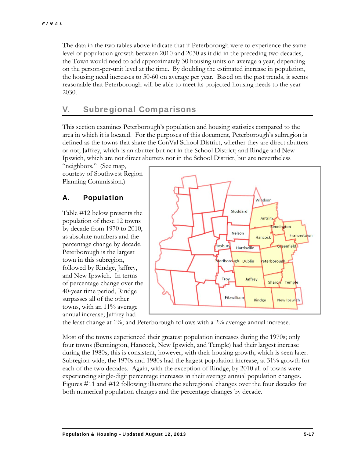The data in the two tables above indicate that if Peterborough were to experience the same level of population growth between 2010 and 2030 as it did in the preceding two decades, the Town would need to add approximately 30 housing units on average a year, depending on the person-per-unit level at the time. By doubling the estimated increase in population, the housing need increases to 50-60 on average per year. Based on the past trends, it seems reasonable that Peterborough will be able to meet its projected housing needs to the year 2030.

#### V. Subregional Comparisons

This section examines Peterborough's population and housing statistics compared to the area in which it is located. For the purposes of this document, Peterborough's subregion is defined as the towns that share the ConVal School District, whether they are direct abutters or not; Jaffrey, which is an abutter but not in the School District; and Rindge and New Ipswich, which are not direct abutters nor in the School District, but are nevertheless

"neighbors." (See map, courtesy of Southwest Region Planning Commission.)

#### A. Population

Table #12 below presents the population of these 12 towns by decade from 1970 to 2010, as absolute numbers and the percentage change by decade. Peterborough is the largest town in this subregion, followed by Rindge, Jaffrey, and New Ipswich. In terms of percentage change over the 40-year time period, Rindge surpasses all of the other towns, with an 11% average annual increase; Jaffrey had



the least change at 1%; and Peterborough follows with a 2% average annual increase.

Most of the towns experienced their greatest population increases during the 1970s; only four towns (Bennington, Hancock, New Ipswich, and Temple) had their largest increase during the 1980s; this is consistent, however, with their housing growth, which is seen later. Subregion-wide, the 1970s and 1980s had the largest population increase, at 31% growth for each of the two decades. Again, with the exception of Rindge, by 2010 all of towns were experiencing single-digit percentage increases in their average annual population changes. Figures #11 and #12 following illustrate the subregional changes over the four decades for both numerical population changes and the percentage changes by decade.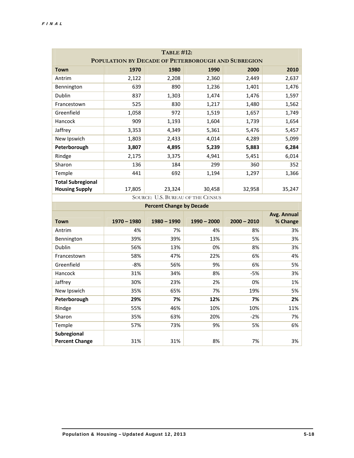| <b>TABLE #12:</b>                                  |               |                                   |               |               |                         |  |
|----------------------------------------------------|---------------|-----------------------------------|---------------|---------------|-------------------------|--|
| POPULATION BY DECADE OF PETERBOROUGH AND SUBREGION |               |                                   |               |               |                         |  |
| <b>Town</b>                                        | 1970          | 1980                              | 1990          | 2000          | 2010                    |  |
| Antrim                                             | 2,122         | 2,208                             | 2,360         | 2,449         | 2,637                   |  |
| Bennington                                         | 639           | 890                               | 1,236         | 1,401         | 1,476                   |  |
| Dublin                                             | 837           | 1,303                             | 1,474         | 1,476         | 1,597                   |  |
| Francestown                                        | 525           | 830                               | 1,217         | 1,480         | 1,562                   |  |
| Greenfield                                         | 1,058         | 972                               | 1,519         | 1,657         | 1,749                   |  |
| Hancock                                            | 909           | 1,193                             | 1,604         | 1,739         | 1,654                   |  |
| Jaffrey                                            | 3,353         | 4,349                             | 5,361         | 5,476         | 5,457                   |  |
| New Ipswich                                        | 1,803         | 2,433                             | 4,014         | 4,289         | 5,099                   |  |
| Peterborough                                       | 3,807         | 4,895                             | 5,239         | 5,883         | 6,284                   |  |
| Rindge                                             | 2,175         | 3,375                             | 4,941         | 5,451         | 6,014                   |  |
| Sharon                                             | 136           | 184                               | 299           | 360           | 352                     |  |
| Temple                                             | 441           | 692                               | 1,194         | 1,297         | 1,366                   |  |
| <b>Total Subregional</b>                           |               |                                   |               |               |                         |  |
| <b>Housing Supply</b>                              | 17,805        | 23,324                            | 30,458        | 32,958        | 35,247                  |  |
|                                                    |               | SOURCE: U.S. BUREAU OF THE CENSUS |               |               |                         |  |
|                                                    |               | <b>Percent Change by Decade</b>   |               |               |                         |  |
| <b>Town</b>                                        | $1970 - 1980$ | $1980 - 1990$                     | $1990 - 2000$ | $2000 - 2010$ | Avg. Annual<br>% Change |  |
| Antrim                                             | 4%            | 7%                                | 4%            | 8%            | 3%                      |  |
| Bennington                                         | 39%           | 39%                               | 13%           | 5%            | 3%                      |  |
| Dublin                                             | 56%           | 13%                               | 0%            | 8%            | 3%                      |  |
| Francestown                                        | 58%           | 47%                               | 22%           | 6%            | 4%                      |  |
| Greenfield                                         | $-8%$         | 56%                               | 9%            | 6%            | 5%                      |  |
| Hancock                                            | 31%           | 34%                               | 8%            | $-5%$         | 3%                      |  |
| Jaffrey                                            | 30%           | 23%                               | 2%            | 0%            | 1%                      |  |
| New Ipswich                                        | 35%           | 65%                               | 7%            | 19%           | 5%                      |  |
| Peterborough                                       | 29%           | 7%                                | 12%           | 7%            | 2%                      |  |
| Rindge                                             | 55%           | 46%                               | 10%           | 10%           | 11%                     |  |
| Sharon                                             | 35%           | 63%                               | 20%           | $-2%$         | 7%                      |  |
| Temple                                             | 57%           | 73%                               | 9%            | 5%            | 6%                      |  |
| Subregional<br><b>Percent Change</b>               | 31%           | 31%                               | 8%            | 7%            | 3%                      |  |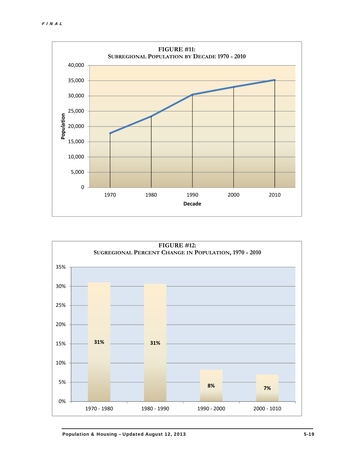

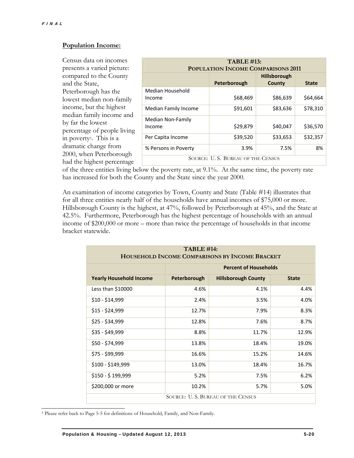$\overline{a}$ 

#### **Population Income:**

Census data on incomes presents a varied picture: compared to the County and the State, Peterborough has the lowest median non-family income, but the highest median family income and by far the lowest percentage of people living in poverty3. This is a dramatic change from 2000, when Peterborough had the highest percentage

| <b>TABLE #13:</b><br><b>POPULATION INCOME COMPARISONS 2011</b> |              |                               |              |  |
|----------------------------------------------------------------|--------------|-------------------------------|--------------|--|
|                                                                | Peterborough | <b>Hillsborough</b><br>County | <b>State</b> |  |
| Median Household<br>Income                                     | \$68,469     | \$86,639                      | \$64,664     |  |
| Median Family Income                                           | \$91,601     | \$83,636                      | \$78,310     |  |
| Median Non-Family<br>Income                                    | \$29,879     | \$40,047                      | \$36,570     |  |
| Per Capita Income                                              | \$39,520     | \$33,653                      | \$32,357     |  |
| % Persons in Poverty                                           | 3.9%         | 7.5%                          | 8%           |  |
| SOURCE: U.S. BUREAU OF THE CENSUS                              |              |                               |              |  |

of the three entities living below the poverty rate, at 9.1%. At the same time, the poverty rate has increased for both the County and the State since the year 2000.

An examination of income categories by Town, County and State (Table #14) illustrates that for all three entities nearly half of the households have annual incomes of \$75,000 or more. Hillsborough County is the highest, at 47%, followed by Peterborough at 45%, and the State at 42.5%. Furthermore, Peterborough has the highest percentage of households with an annual income of \$200,000 or more – more than twice the percentage of households in that income bracket statewide.

| <b>TABLE #14:</b><br>HOUSEHOLD INCOME COMPARISONS BY INCOME BRACKET |                              |                            |              |  |  |
|---------------------------------------------------------------------|------------------------------|----------------------------|--------------|--|--|
|                                                                     | <b>Percent of Households</b> |                            |              |  |  |
| <b>Yearly Household Income</b>                                      | Peterborough                 | <b>Hillsborough County</b> | <b>State</b> |  |  |
| Less than \$10000                                                   | 4.6%                         | 4.1%                       | 4.4%         |  |  |
| $$10 - $14,999$                                                     | 2.4%                         | 3.5%                       | 4.0%         |  |  |
| $$15 - $24,999$                                                     | 12.7%                        | 7.9%                       | 8.3%         |  |  |
| \$25 - \$34,999                                                     | 12.8%                        | 7.6%                       | 8.7%         |  |  |
| \$35 - \$49,999                                                     | 8.8%                         | 11.7%                      | 12.9%        |  |  |
| \$50 - \$74,999                                                     | 13.8%                        | 18.4%                      | 19.0%        |  |  |
| \$75 - \$99,999                                                     | 16.6%                        | 15.2%                      | 14.6%        |  |  |
| \$100 - \$149,999                                                   | 13.0%                        | 18.4%                      | 16.7%        |  |  |
| \$150 - \$199,999                                                   | 5.2%                         | 7.5%                       | 6.2%         |  |  |
| \$200,000 or more                                                   | 10.2%                        | 5.7%                       | 5.0%         |  |  |
| SOURCE: U.S. BUREAU OF THE CENSUS                                   |                              |                            |              |  |  |

<sup>3</sup> Please refer back to Page 5-5 for definitions of Household, Family, and Non-Family.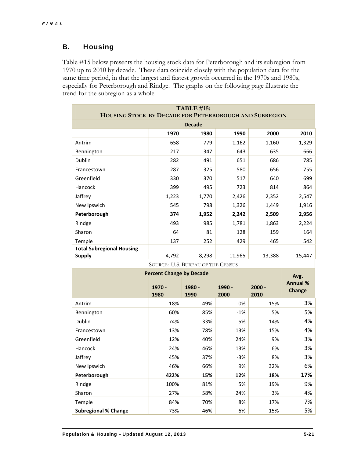#### B. Housing

Table #15 below presents the housing stock data for Peterborough and its subregion from 1970 up to 2010 by decade. These data coincide closely with the population data for the same time period, in that the largest and fastest growth occurred in the 1970s and 1980s, especially for Peterborough and Rindge. The graphs on the following page illustrate the trend for the subregion as a whole.

| <b>TABLE #15:</b><br>HOUSING STOCK BY DECADE FOR PETERBOROUGH AND SUBREGION |                                 |               |          |            |                                  |  |
|-----------------------------------------------------------------------------|---------------------------------|---------------|----------|------------|----------------------------------|--|
|                                                                             |                                 | <b>Decade</b> |          |            |                                  |  |
|                                                                             | 1970                            | 1980          | 1990     | 2000       | 2010                             |  |
| Antrim                                                                      | 658                             | 779           | 1,162    | 1,160      | 1,329                            |  |
| Bennington                                                                  | 217                             | 347           | 643      | 635        | 666                              |  |
| Dublin                                                                      | 282                             | 491           | 651      | 686        | 785                              |  |
| Francestown                                                                 | 287                             | 325           | 580      | 656        | 755                              |  |
| Greenfield                                                                  | 330                             | 370           | 517      | 640        | 699                              |  |
| Hancock                                                                     | 399                             | 495           | 723      | 814        | 864                              |  |
| Jaffrey                                                                     | 1,223                           | 1,770         | 2,426    | 2,352      | 2,547                            |  |
| New Ipswich                                                                 | 545                             | 798           | 1,326    | 1,449      | 1,916                            |  |
| Peterborough                                                                | 374                             | 1,952         | 2,242    | 2,509      | 2,956                            |  |
| Rindge                                                                      | 493                             | 985           | 1,781    | 1,863      | 2,224                            |  |
| Sharon                                                                      | 64                              | 81            | 128      | 159        | 164                              |  |
| Temple                                                                      | 137                             | 252           | 429      | 465        | 542                              |  |
| <b>Total Subregional Housing</b>                                            |                                 |               |          |            |                                  |  |
| <b>Supply</b>                                                               | 4,792                           | 8,298         | 11,965   | 13,388     | 15,447                           |  |
| SOURCE: U.S. BUREAU OF THE CENSUS                                           |                                 |               |          |            |                                  |  |
|                                                                             |                                 |               |          |            |                                  |  |
|                                                                             | <b>Percent Change by Decade</b> |               |          |            | Avg.                             |  |
|                                                                             | 1970 -                          | 1980 -        | 1990 -   | $2000 -$   | <b>Annual %</b><br><b>Change</b> |  |
|                                                                             | 1980                            | 1990          | 2000     | 2010       |                                  |  |
| Antrim                                                                      | 18%                             | 49%           | 0%       | 15%        | 3%                               |  |
| Bennington                                                                  | 60%                             | 85%           | $-1%$    | 5%         | 5%                               |  |
| Dublin                                                                      | 74%                             | 33%           | 5%       | 14%        | 4%                               |  |
| Francestown                                                                 | 13%                             | 78%           | 13%      | 15%        | 4%                               |  |
| Greenfield                                                                  | 12%                             | 40%           | 24%      | 9%         | 3%                               |  |
| Hancock                                                                     | 24%                             | 46%           | 13%      | 6%         | 3%                               |  |
| Jaffrey                                                                     | 45%                             | 37%           | $-3%$    | 8%         | 3%                               |  |
| New Ipswich                                                                 | 46%                             | 66%           | 9%       | 32%        | 6%                               |  |
| Peterborough                                                                | 422%                            | 15%           | 12%      | 18%        | 17%                              |  |
| Rindge                                                                      | 100%                            | 81%           | 5%       | 19%        | 9%                               |  |
| Sharon                                                                      | 27%                             | 58%           | 24%      | 3%         | 4%                               |  |
| Temple<br><b>Subregional % Change</b>                                       | 84%<br>73%                      | 70%<br>46%    | 8%<br>6% | 17%<br>15% | 7%<br>5%                         |  |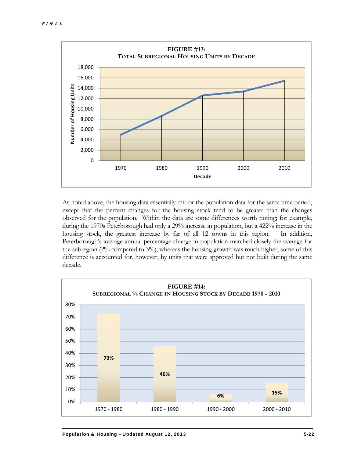

As noted above, the housing data essentially mirror the population data for the same time period, except that the percent changes for the housing stock tend to be greater than the changes observed for the population. Within the data are some differences worth noting; for example, during the 1970s Peterborough had only a 29% increase in population, but a 422% increase in the housing stock, the greatest increase by far of all 12 towns in this region. In addition, Peterborough's average annual percentage change in population matched closely the average for the subregion (2% compared to 3%); whereas the housing growth was much higher; some of this difference is accounted for, however, by units that were approved but not built during the same decade.

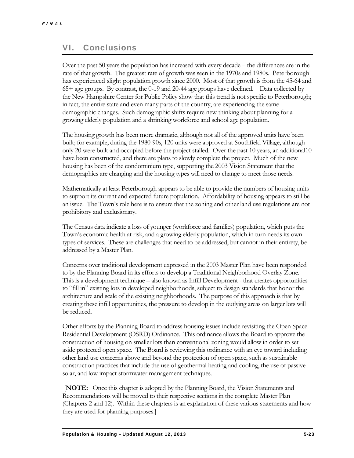#### VI. Conclusions

Over the past 50 years the population has increased with every decade – the differences are in the rate of that growth. The greatest rate of growth was seen in the 1970s and 1980s. Peterborough has experienced slight population growth since 2000. Most of that growth is from the 45-64 and 65+ age groups. By contrast, the 0-19 and 20-44 age groups have declined. Data collected by the New Hampshire Center for Public Policy show that this trend is not specific to Peterborough; in fact, the entire state and even many parts of the country, are experiencing the same demographic changes. Such demographic shifts require new thinking about planning for a growing elderly population and a shrinking workforce and school age population.

The housing growth has been more dramatic, although not all of the approved units have been built; for example, during the 1980-90s, 120 units were approved at Southfield Village, although only 20 were built and occupied before the project stalled. Over the past 10 years, an additional10 have been constructed, and there are plans to slowly complete the project. Much of the new housing has been of the condominium type, supporting the 2003 Vision Statement that the demographics are changing and the housing types will need to change to meet those needs.

Mathematically at least Peterborough appears to be able to provide the numbers of housing units to support its current and expected future population. Affordability of housing appears to still be an issue. The Town's role here is to ensure that the zoning and other land use regulations are not prohibitory and exclusionary.

The Census data indicate a loss of younger (workforce and families) population, which puts the Town's economic health at risk, and a growing elderly population, which in turn needs its own types of services. These are challenges that need to be addressed, but cannot in their entirety, be addressed by a Master Plan.

Concerns over traditional development expressed in the 2003 Master Plan have been responded to by the Planning Board in its efforts to develop a Traditional Neighborhood Overlay Zone. This is a development technique – also known as Infill Development - that creates opportunities to "fill in" existing lots in developed neighborhoods, subject to design standards that honor the architecture and scale of the existing neighborhoods. The purpose of this approach is that by creating these infill opportunities, the pressure to develop in the outlying areas on larger lots will be reduced.

Other efforts by the Planning Board to address housing issues include revisiting the Open Space Residential Development (OSRD) Ordinance. This ordinance allows the Board to approve the construction of housing on smaller lots than conventional zoning would allow in order to set aside protected open space. The Board is reviewing this ordinance with an eye toward including other land use concerns above and beyond the protection of open space, such as sustainable construction practices that include the use of geothermal heating and cooling, the use of passive solar, and low impact stormwater management techniques.

 [**NOTE:** Once this chapter is adopted by the Planning Board, the Vision Statements and Recommendations will be moved to their respective sections in the complete Master Plan (Chapters 2 and 12). Within these chapters is an explanation of these various statements and how they are used for planning purposes.]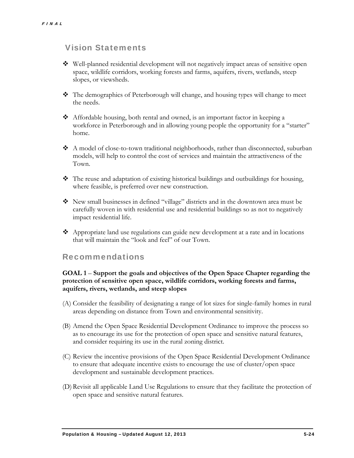#### Vision Statements

- Well-planned residential development will not negatively impact areas of sensitive open space, wildlife corridors, working forests and farms, aquifers, rivers, wetlands, steep slopes, or viewsheds.
- $\mathbf{\hat{P}}$  The demographics of Peterborough will change, and housing types will change to meet the needs.
- $\triangleleft$  Affordable housing, both rental and owned, is an important factor in keeping a workforce in Peterborough and in allowing young people the opportunity for a "starter" home.
- $\triangle$  A model of close-to-town traditional neighborhoods, rather than disconnected, suburban models, will help to control the cost of services and maintain the attractiveness of the Town.
- $\bullet$  The reuse and adaptation of existing historical buildings and outbuildings for housing, where feasible, is preferred over new construction.
- New small businesses in defined "village" districts and in the downtown area must be carefully woven in with residential use and residential buildings so as not to negatively impact residential life.
- Appropriate land use regulations can guide new development at a rate and in locations that will maintain the "look and feel" of our Town.

#### Recommendations

#### **GOAL 1** – **Support the goals and objectives of the Open Space Chapter regarding the protection of sensitive open space, wildlife corridors, working forests and farms, aquifers, rivers, wetlands, and steep slopes**

- (A) Consider the feasibility of designating a range of lot sizes for single-family homes in rural areas depending on distance from Town and environmental sensitivity.
- (B) Amend the Open Space Residential Development Ordinance to improve the process so as to encourage its use for the protection of open space and sensitive natural features, and consider requiring its use in the rural zoning district.
- (C) Review the incentive provisions of the Open Space Residential Development Ordinance to ensure that adequate incentive exists to encourage the use of cluster/open space development and sustainable development practices.
- (D) Revisit all applicable Land Use Regulations to ensure that they facilitate the protection of open space and sensitive natural features.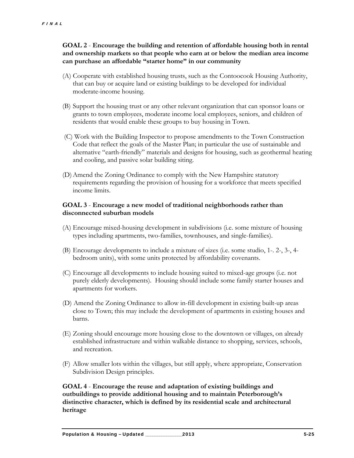#### **GOAL 2** - **Encourage the building and retention of affordable housing both in rental and ownership markets so that people who earn at or below the median area income can purchase an affordable "starter home" in our community**

- (A) Cooperate with established housing trusts, such as the Contoocook Housing Authority, that can buy or acquire land or existing buildings to be developed for individual moderate-income housing.
- (B) Support the housing trust or any other relevant organization that can sponsor loans or grants to town employees, moderate income local employees, seniors, and children of residents that would enable these groups to buy housing in Town.
- (C) Work with the Building Inspector to propose amendments to the Town Construction Code that reflect the goals of the Master Plan; in particular the use of sustainable and alternative "earth-friendly" materials and designs for housing, such as geothermal heating and cooling, and passive solar building siting.
- (D) Amend the Zoning Ordinance to comply with the New Hampshire statutory requirements regarding the provision of housing for a workforce that meets specified income limits.

#### **GOAL 3** - **Encourage a new model of traditional neighborhoods rather than disconnected suburban models**

- (A) Encourage mixed-housing development in subdivisions (i.e. some mixture of housing types including apartments, two-families, townhouses, and single-families).
- (B) Encourage developments to include a mixture of sizes (i.e. some studio, 1-. 2-, 3-, 4 bedroom units), with some units protected by affordability covenants.
- (C) Encourage all developments to include housing suited to mixed-age groups (i.e. not purely elderly developments). Housing should include some family starter houses and apartments for workers.
- (D) Amend the Zoning Ordinance to allow in-fill development in existing built-up areas close to Town; this may include the development of apartments in existing houses and barns.
- (E) Zoning should encourage more housing close to the downtown or villages, on already established infrastructure and within walkable distance to shopping, services, schools, and recreation.
- (F) Allow smaller lots within the villages, but still apply, where appropriate, Conservation Subdivision Design principles.

**GOAL 4** - **Encourage the reuse and adaptation of existing buildings and outbuildings to provide additional housing and to maintain Peterborough's distinctive character, which is defined by its residential scale and architectural heritage**